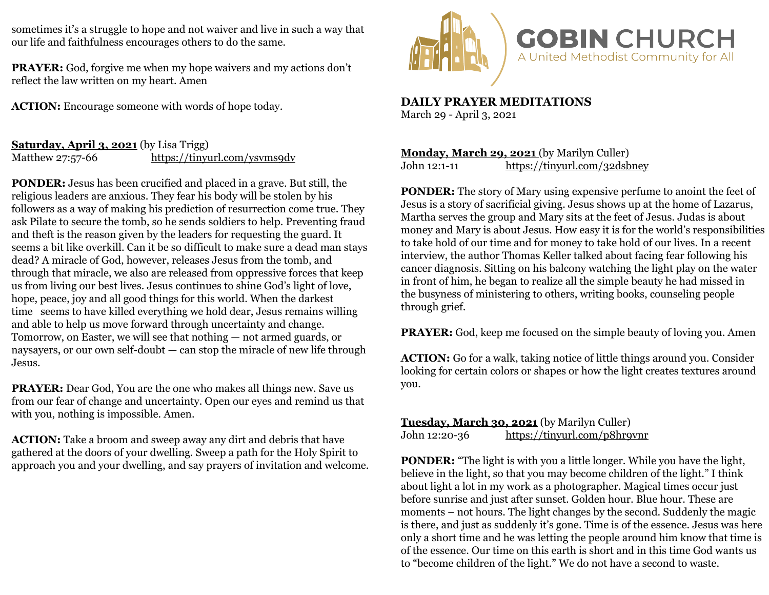sometimes it's a struggle to hope and not waiver and live in such a way that our life and faithfulness encourages others to do the same.

**PRAYER:** God, forgive me when my hope waivers and my actions don't reflect the law written on my heart. Amen

**ACTION:** Encourage someone with words of hope today.

**Saturday, April 3, 2021** (by Lisa Trigg) Matthew 27:57-66 <https://tinyurl.com/ysvms9dv>

**PONDER:** Jesus has been crucified and placed in a grave. But still, the religious leaders are anxious. They fear his body will be stolen by his followers as a way of making his prediction of resurrection come true. They ask Pilate to secure the tomb, so he sends soldiers to help. Preventing fraud and theft is the reason given by the leaders for requesting the guard. It seems a bit like overkill. Can it be so difficult to make sure a dead man stays dead? A miracle of God, however, releases Jesus from the tomb, and through that miracle, we also are released from oppressive forces that keep us from living our best lives. Jesus continues to shine God's light of love, hope, peace, joy and all good things for this world. When the darkest time seems to have killed everything we hold dear, Jesus remains willing and able to help us move forward through uncertainty and change. Tomorrow, on Easter, we will see that nothing — not armed guards, or naysayers, or our own self-doubt — can stop the miracle of new life through Jesus.

**PRAYER:** Dear God, You are the one who makes all things new. Save us from our fear of change and uncertainty. Open our eyes and remind us that with you, nothing is impossible. Amen.

**ACTION:** Take a broom and sweep away any dirt and debris that have gathered at the doors of your dwelling. Sweep a path for the Holy Spirit to approach you and your dwelling, and say prayers of invitation and welcome.



**DAILY PRAYER MEDITATIONS**  March 29 - April 3, 2021

**Monday, March 29, 2021** (by Marilyn Culler) John 12:1-11 <https://tinyurl.com/32dsbney>

**PONDER:** The story of Mary using expensive perfume to anoint the feet of Jesus is a story of sacrificial giving. Jesus shows up at the home of Lazarus, Martha serves the group and Mary sits at the feet of Jesus. Judas is about money and Mary is about Jesus. How easy it is for the world's responsibilities to take hold of our time and for money to take hold of our lives. In a recent interview, the author Thomas Keller talked about facing fear following his cancer diagnosis. Sitting on his balcony watching the light play on the water in front of him, he began to realize all the simple beauty he had missed in the busyness of ministering to others, writing books, counseling people through grief.

**PRAYER:** God, keep me focused on the simple beauty of loving you. Amen

**ACTION:** Go for a walk, taking notice of little things around you. Consider looking for certain colors or shapes or how the light creates textures around you.

## **Tuesday, March 30, 2021** (by Marilyn Culler) John 12:20-36 <https://tinyurl.com/p8hr9vnr>

**PONDER:** "The light is with you a little longer. While you have the light, believe in the light, so that you may become children of the light." I think about light a lot in my work as a photographer. Magical times occur just before sunrise and just after sunset. Golden hour. Blue hour. These are moments – not hours. The light changes by the second. Suddenly the magic is there, and just as suddenly it's gone. Time is of the essence. Jesus was here only a short time and he was letting the people around him know that time is of the essence. Our time on this earth is short and in this time God wants us to "become children of the light." We do not have a second to waste.